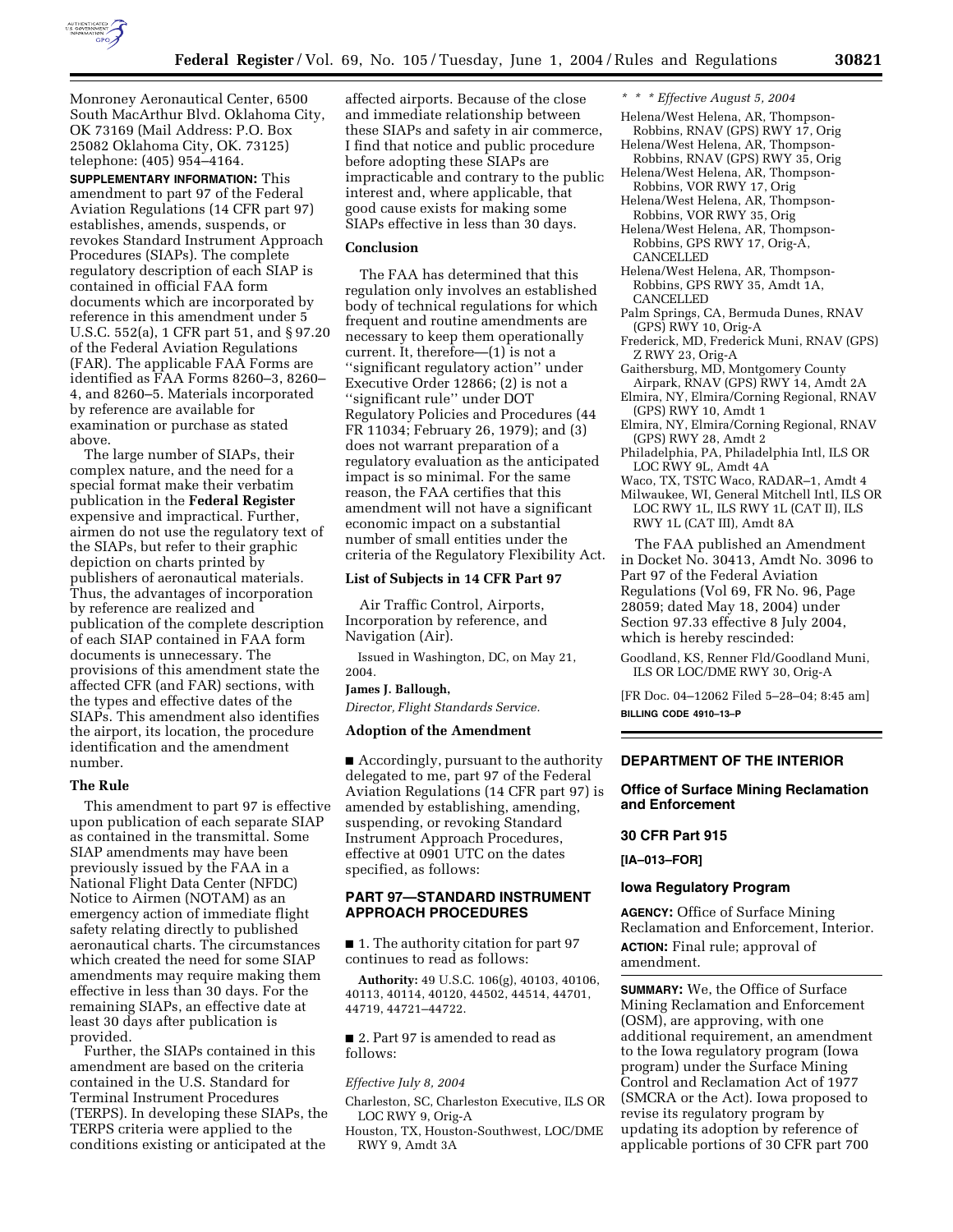

Monroney Aeronautical Center, 6500 South MacArthur Blvd. Oklahoma City, OK 73169 (Mail Address: P.O. Box 25082 Oklahoma City, OK. 73125) telephone: (405) 954–4164.

**SUPPLEMENTARY INFORMATION:** This amendment to part 97 of the Federal Aviation Regulations (14 CFR part 97) establishes, amends, suspends, or revokes Standard Instrument Approach Procedures (SIAPs). The complete regulatory description of each SIAP is contained in official FAA form documents which are incorporated by reference in this amendment under 5 U.S.C. 552(a), 1 CFR part 51, and § 97.20 of the Federal Aviation Regulations (FAR). The applicable FAA Forms are identified as FAA Forms 8260–3, 8260– 4, and 8260–5. Materials incorporated by reference are available for examination or purchase as stated above.

The large number of SIAPs, their complex nature, and the need for a special format make their verbatim publication in the **Federal Register** expensive and impractical. Further, airmen do not use the regulatory text of the SIAPs, but refer to their graphic depiction on charts printed by publishers of aeronautical materials. Thus, the advantages of incorporation by reference are realized and publication of the complete description of each SIAP contained in FAA form documents is unnecessary. The provisions of this amendment state the affected CFR (and FAR) sections, with the types and effective dates of the SIAPs. This amendment also identifies the airport, its location, the procedure identification and the amendment number.

# **The Rule**

This amendment to part 97 is effective upon publication of each separate SIAP as contained in the transmittal. Some SIAP amendments may have been previously issued by the FAA in a National Flight Data Center (NFDC) Notice to Airmen (NOTAM) as an emergency action of immediate flight safety relating directly to published aeronautical charts. The circumstances which created the need for some SIAP amendments may require making them effective in less than 30 days. For the remaining SIAPs, an effective date at least 30 days after publication is provided.

Further, the SIAPs contained in this amendment are based on the criteria contained in the U.S. Standard for Terminal Instrument Procedures (TERPS). In developing these SIAPs, the TERPS criteria were applied to the conditions existing or anticipated at the

affected airports. Because of the close and immediate relationship between these SIAPs and safety in air commerce, I find that notice and public procedure before adopting these SIAPs are impracticable and contrary to the public interest and, where applicable, that good cause exists for making some SIAPs effective in less than 30 days.

#### **Conclusion**

The FAA has determined that this regulation only involves an established body of technical regulations for which frequent and routine amendments are necessary to keep them operationally current. It, therefore—(1) is not a ''significant regulatory action'' under Executive Order 12866; (2) is not a ''significant rule'' under DOT Regulatory Policies and Procedures (44 FR 11034; February 26, 1979); and (3) does not warrant preparation of a regulatory evaluation as the anticipated impact is so minimal. For the same reason, the FAA certifies that this amendment will not have a significant economic impact on a substantial number of small entities under the criteria of the Regulatory Flexibility Act.

# **List of Subjects in 14 CFR Part 97**

Air Traffic Control, Airports, Incorporation by reference, and Navigation (Air).

Issued in Washington, DC, on May 21, 2004.

# **James J. Ballough,**

*Director, Flight Standards Service.*

# **Adoption of the Amendment**

■ Accordingly, pursuant to the authority delegated to me, part 97 of the Federal Aviation Regulations (14 CFR part 97) is amended by establishing, amending, suspending, or revoking Standard Instrument Approach Procedures, effective at 0901 UTC on the dates specified, as follows:

# **PART 97—STANDARD INSTRUMENT APPROACH PROCEDURES**

■ 1. The authority citation for part 97 continues to read as follows:

**Authority:** 49 U.S.C. 106(g), 40103, 40106, 40113, 40114, 40120, 44502, 44514, 44701, 44719, 44721–44722.

■ 2. Part 97 is amended to read as follows:

#### *Effective July 8, 2004*

Charleston, SC, Charleston Executive, ILS OR LOC RWY 9, Orig-A

Houston, TX, Houston-Southwest, LOC/DME RWY 9, Amdt 3A

- *\* \* \* Effective August 5, 2004*
- Helena/West Helena, AR, Thompson-Robbins, RNAV (GPS) RWY 17, Orig
- Helena/West Helena, AR, Thompson-Robbins, RNAV (GPS) RWY 35, Orig
- Helena/West Helena, AR, Thompson-Robbins, VOR RWY 17, Orig
- Helena/West Helena, AR, Thompson-Robbins, VOR RWY 35, Orig

Helena/West Helena, AR, Thompson-Robbins, GPS RWY 17, Orig-A, CANCELLED

- Helena/West Helena, AR, Thompson-Robbins, GPS RWY 35, Amdt 1A, CANCELLED
- Palm Springs, CA, Bermuda Dunes, RNAV (GPS) RWY 10, Orig-A
- Frederick, MD, Frederick Muni, RNAV (GPS) Z RWY 23, Orig-A
- Gaithersburg, MD, Montgomery County Airpark, RNAV (GPS) RWY 14, Amdt 2A
- Elmira, NY, Elmira/Corning Regional, RNAV (GPS) RWY 10, Amdt 1
- Elmira, NY, Elmira/Corning Regional, RNAV (GPS) RWY 28, Amdt 2
- Philadelphia, PA, Philadelphia Intl, ILS OR LOC RWY 9L, Amdt 4A
- Waco, TX, TSTC Waco, RADAR–1, Amdt 4

Milwaukee, WI, General Mitchell Intl, ILS OR LOC RWY 1L, ILS RWY 1L (CAT II), ILS RWY 1L (CAT III), Amdt 8A

The FAA published an Amendment in Docket No. 30413, Amdt No. 3096 to Part 97 of the Federal Aviation Regulations (Vol 69, FR No. 96, Page 28059; dated May 18, 2004) under Section 97.33 effective 8 July 2004, which is hereby rescinded:

Goodland, KS, Renner Fld/Goodland Muni, ILS OR LOC/DME RWY 30, Orig-A

[FR Doc. 04–12062 Filed 5–28–04; 8:45 am] **BILLING CODE 4910–13–P**

# **DEPARTMENT OF THE INTERIOR**

# **Office of Surface Mining Reclamation and Enforcement**

# **30 CFR Part 915**

**[IA–013–FOR]** 

#### **Iowa Regulatory Program**

**AGENCY:** Office of Surface Mining Reclamation and Enforcement, Interior. **ACTION:** Final rule; approval of amendment.

**SUMMARY:** We, the Office of Surface Mining Reclamation and Enforcement (OSM), are approving, with one additional requirement, an amendment to the Iowa regulatory program (Iowa program) under the Surface Mining Control and Reclamation Act of 1977 (SMCRA or the Act). Iowa proposed to revise its regulatory program by updating its adoption by reference of applicable portions of 30 CFR part 700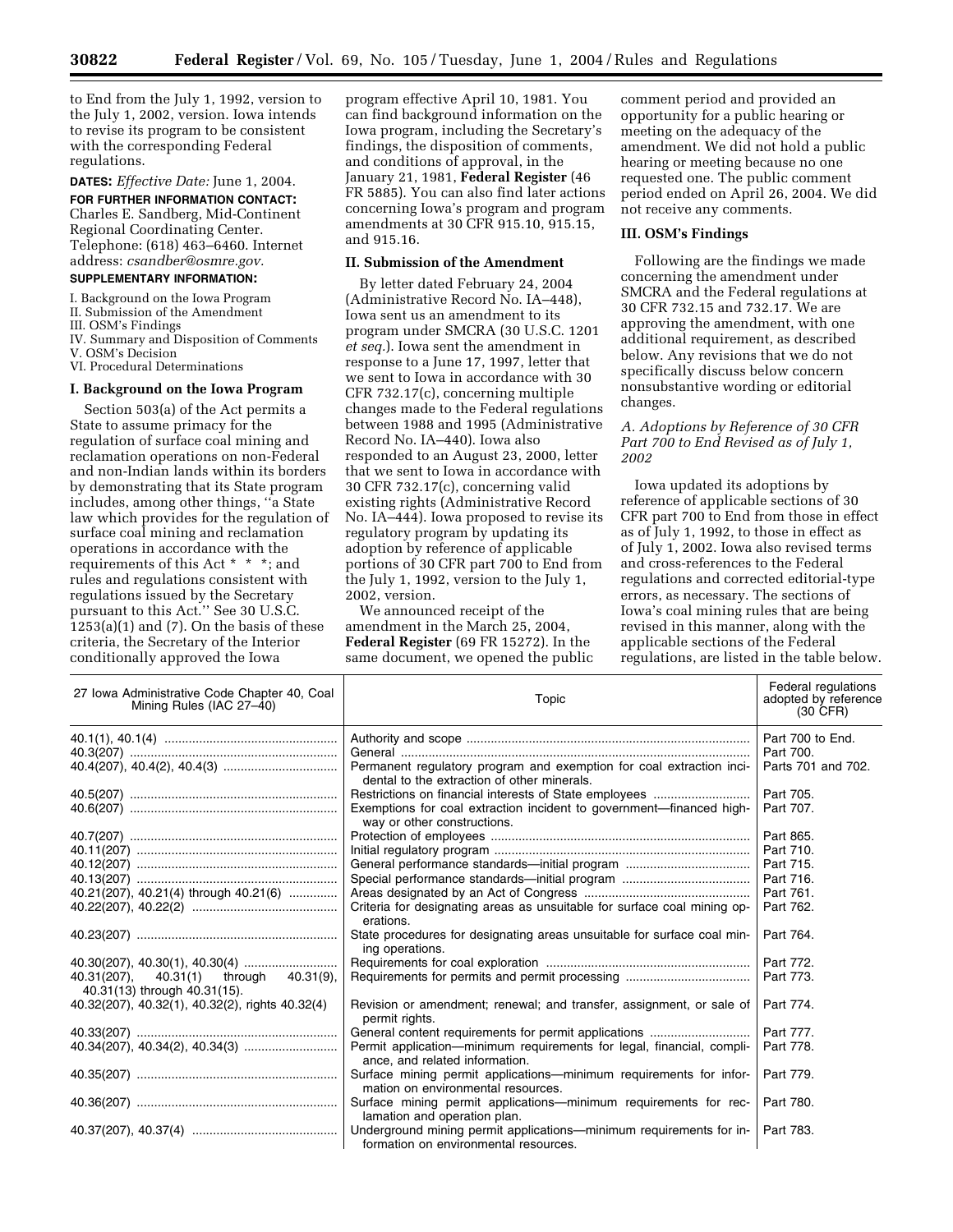to End from the July 1, 1992, version to the July 1, 2002, version. Iowa intends to revise its program to be consistent with the corresponding Federal regulations.

# **DATES:** *Effective Date:* June 1, 2004.

**FOR FURTHER INFORMATION CONTACT:** Charles E. Sandberg, Mid-Continent Regional Coordinating Center. Telephone: (618) 463–6460. Internet address: *csandber@osmre.gov.*

# **SUPPLEMENTARY INFORMATION:**

I. Background on the Iowa Program

II. Submission of the Amendment

III. OSM's Findings

IV. Summary and Disposition of Comments

V. OSM's Decision VI. Procedural Determinations

# **I. Background on the Iowa Program**

Section 503(a) of the Act permits a State to assume primacy for the regulation of surface coal mining and reclamation operations on non-Federal and non-Indian lands within its borders by demonstrating that its State program includes, among other things, ''a State law which provides for the regulation of surface coal mining and reclamation operations in accordance with the requirements of this Act \* \* \*; and rules and regulations consistent with regulations issued by the Secretary pursuant to this Act.'' See 30 U.S.C.  $1253(a)(1)$  and  $(7)$ . On the basis of these criteria, the Secretary of the Interior conditionally approved the Iowa

program effective April 10, 1981. You can find background information on the Iowa program, including the Secretary's findings, the disposition of comments, and conditions of approval, in the January 21, 1981, **Federal Register** (46 FR 5885). You can also find later actions concerning Iowa's program and program amendments at 30 CFR 915.10, 915.15, and 915.16.

#### **II. Submission of the Amendment**

By letter dated February 24, 2004 (Administrative Record No. IA–448), Iowa sent us an amendment to its program under SMCRA (30 U.S.C. 1201 *et seq.*). Iowa sent the amendment in response to a June 17, 1997, letter that we sent to Iowa in accordance with 30 CFR 732.17(c), concerning multiple changes made to the Federal regulations between 1988 and 1995 (Administrative Record No. IA–440). Iowa also responded to an August 23, 2000, letter that we sent to Iowa in accordance with 30 CFR 732.17(c), concerning valid existing rights (Administrative Record No. IA–444). Iowa proposed to revise its regulatory program by updating its adoption by reference of applicable portions of 30 CFR part 700 to End from the July 1, 1992, version to the July 1, 2002, version.

We announced receipt of the amendment in the March 25, 2004, **Federal Register** (69 FR 15272). In the same document, we opened the public

comment period and provided an opportunity for a public hearing or meeting on the adequacy of the amendment. We did not hold a public hearing or meeting because no one requested one. The public comment period ended on April 26, 2004. We did not receive any comments.

#### **III. OSM's Findings**

Following are the findings we made concerning the amendment under SMCRA and the Federal regulations at 30 CFR 732.15 and 732.17. We are approving the amendment, with one additional requirement, as described below. Any revisions that we do not specifically discuss below concern nonsubstantive wording or editorial changes.

# *A. Adoptions by Reference of 30 CFR Part 700 to End Revised as of July 1, 2002*

Iowa updated its adoptions by reference of applicable sections of 30 CFR part 700 to End from those in effect as of July 1, 1992, to those in effect as of July 1, 2002. Iowa also revised terms and cross-references to the Federal regulations and corrected editorial-type errors, as necessary. The sections of Iowa's coal mining rules that are being revised in this manner, along with the applicable sections of the Federal regulations, are listed in the table below.

| 27 Iowa Administrative Code Chapter 40, Coal<br>Mining Rules (IAC 27-40)     | Topic                                                                                                               | Federal regulations<br>adopted by reference<br>$(30 \text{ CFR})$ |
|------------------------------------------------------------------------------|---------------------------------------------------------------------------------------------------------------------|-------------------------------------------------------------------|
|                                                                              |                                                                                                                     | Part 700 to End.                                                  |
|                                                                              |                                                                                                                     | Part 700.                                                         |
|                                                                              | Permanent regulatory program and exemption for coal extraction inci-<br>dental to the extraction of other minerals. | Parts 701 and 702.                                                |
|                                                                              |                                                                                                                     | Part 705.                                                         |
|                                                                              | Exemptions for coal extraction incident to government—financed high-<br>way or other constructions.                 | Part 707.                                                         |
|                                                                              |                                                                                                                     | Part 865.                                                         |
|                                                                              |                                                                                                                     | Part 710.                                                         |
|                                                                              | General performance standards-initial program                                                                       | Part 715.                                                         |
|                                                                              | Special performance standards-initial program                                                                       | Part 716.                                                         |
| 40.21(207), 40.21(4) through 40.21(6)                                        |                                                                                                                     | Part 761.                                                         |
|                                                                              | Criteria for designating areas as unsuitable for surface coal mining op-<br>erations.                               | Part 762.                                                         |
|                                                                              | State procedures for designating areas unsuitable for surface coal min-<br>ing operations.                          | Part 764.                                                         |
|                                                                              |                                                                                                                     | Part 772.                                                         |
| 40.31(207),<br>40.31(1) through<br>40.31(9),<br>40.31(13) through 40.31(15). |                                                                                                                     | Part 773.                                                         |
| 40.32(207), 40.32(1), 40.32(2), rights 40.32(4)                              | Revision or amendment; renewal; and transfer, assignment, or sale of<br>permit rights.                              | Part 774.                                                         |
|                                                                              | General content requirements for permit applications                                                                | Part 777.                                                         |
|                                                                              | Permit application-minimum requirements for legal, financial, compli-<br>ance, and related information.             | Part 778.                                                         |
|                                                                              | Surface mining permit applications—minimum requirements for infor-<br>mation on environmental resources.            | Part 779.                                                         |
|                                                                              | Surface mining permit applications—minimum requirements for rec-<br>lamation and operation plan.                    | Part 780.                                                         |
|                                                                              | Underground mining permit applications—minimum requirements for in-<br>formation on environmental resources.        | Part 783.                                                         |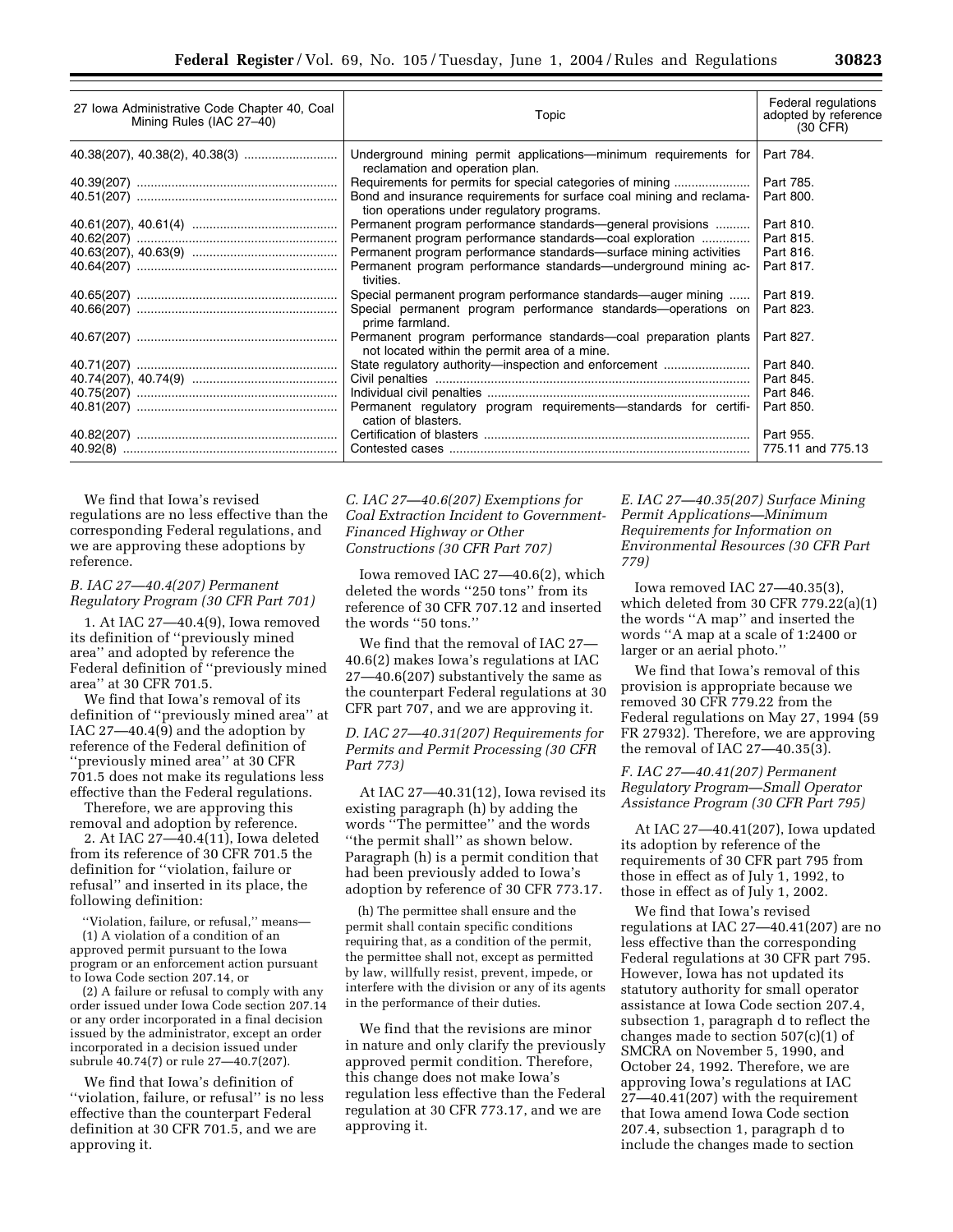| 27 Iowa Administrative Code Chapter 40, Coal<br>Mining Rules (IAC 27-40) | Topic                                                                                                              | Federal regulations<br>adopted by reference<br>(30 CFR) |
|--------------------------------------------------------------------------|--------------------------------------------------------------------------------------------------------------------|---------------------------------------------------------|
|                                                                          | Underground mining permit applications—minimum requirements for<br>reclamation and operation plan.                 | Part 784.                                               |
|                                                                          | Requirements for permits for special categories of mining                                                          | Part 785.                                               |
|                                                                          | Bond and insurance requirements for surface coal mining and reclama-<br>tion operations under regulatory programs. | Part 800.                                               |
|                                                                          | Permanent program performance standards—general provisions                                                         | Part 810.                                               |
|                                                                          | Permanent program performance standards-coal exploration                                                           | Part 815.                                               |
|                                                                          | Permanent program performance standards—surface mining activities                                                  | Part 816.                                               |
|                                                                          | Permanent program performance standards—underground mining ac-<br>tivities.                                        | Part 817.                                               |
|                                                                          | Special permanent program performance standards—auger mining                                                       | Part 819.                                               |
|                                                                          | Special permanent program performance standards—operations on<br>prime farmland.                                   | Part 823.                                               |
|                                                                          | Permanent program performance standards—coal preparation plants<br>not located within the permit area of a mine.   | Part 827.                                               |
|                                                                          | State regulatory authority-inspection and enforcement                                                              | Part 840.                                               |
|                                                                          |                                                                                                                    | Part 845.                                               |
|                                                                          |                                                                                                                    | Part 846.                                               |
|                                                                          | Permanent regulatory program requirements—standards for certifi-<br>cation of blasters.                            | Part 850.                                               |
|                                                                          |                                                                                                                    | Part 955.                                               |
|                                                                          |                                                                                                                    | 775.11 and 775.13                                       |

We find that Iowa's revised regulations are no less effective than the corresponding Federal regulations, and we are approving these adoptions by reference.

### *B. IAC 27—40.4(207) Permanent Regulatory Program (30 CFR Part 701)*

1. At IAC 27—40.4(9), Iowa removed its definition of ''previously mined area'' and adopted by reference the Federal definition of ''previously mined area'' at 30 CFR 701.5.

We find that Iowa's removal of its definition of ''previously mined area'' at IAC 27—40.4(9) and the adoption by reference of the Federal definition of ''previously mined area'' at 30 CFR 701.5 does not make its regulations less effective than the Federal regulations.

Therefore, we are approving this removal and adoption by reference.

2. At IAC 27—40.4(11), Iowa deleted from its reference of 30 CFR 701.5 the definition for ''violation, failure or refusal'' and inserted in its place, the following definition:

''Violation, failure, or refusal,'' means— (1) A violation of a condition of an approved permit pursuant to the Iowa program or an enforcement action pursuant to Iowa Code section 207.14, or

(2) A failure or refusal to comply with any order issued under Iowa Code section 207.14 or any order incorporated in a final decision issued by the administrator, except an order incorporated in a decision issued under subrule 40.74(7) or rule 27—40.7(207).

We find that Iowa's definition of "violation, failure, or refusal" is no less effective than the counterpart Federal definition at 30 CFR 701.5, and we are approving it.

*C. IAC 27—40.6(207) Exemptions for Coal Extraction Incident to Government-Financed Highway or Other Constructions (30 CFR Part 707)* 

Iowa removed IAC 27—40.6(2), which deleted the words ''250 tons'' from its reference of 30 CFR 707.12 and inserted the words ''50 tons.''

We find that the removal of IAC 27— 40.6(2) makes Iowa's regulations at IAC 27—40.6(207) substantively the same as the counterpart Federal regulations at 30 CFR part 707, and we are approving it.

# *D. IAC 27—40.31(207) Requirements for Permits and Permit Processing (30 CFR Part 773)*

At IAC 27—40.31(12), Iowa revised its existing paragraph (h) by adding the words ''The permittee'' and the words ''the permit shall'' as shown below. Paragraph (h) is a permit condition that had been previously added to Iowa's adoption by reference of 30 CFR 773.17.

(h) The permittee shall ensure and the permit shall contain specific conditions requiring that, as a condition of the permit, the permittee shall not, except as permitted by law, willfully resist, prevent, impede, or interfere with the division or any of its agents in the performance of their duties.

We find that the revisions are minor in nature and only clarify the previously approved permit condition. Therefore, this change does not make Iowa's regulation less effective than the Federal regulation at 30 CFR 773.17, and we are approving it.

*E. IAC 27—40.35(207) Surface Mining Permit Applications—Minimum Requirements for Information on Environmental Resources (30 CFR Part 779)* 

Iowa removed IAC 27—40.35(3), which deleted from 30 CFR 779.22(a)(1) the words ''A map'' and inserted the words ''A map at a scale of 1:2400 or larger or an aerial photo.''

We find that Iowa's removal of this provision is appropriate because we removed 30 CFR 779.22 from the Federal regulations on May 27, 1994 (59 FR 27932). Therefore, we are approving the removal of IAC 27—40.35(3).

# *F. IAC 27—40.41(207) Permanent Regulatory Program—Small Operator Assistance Program (30 CFR Part 795)*

At IAC 27—40.41(207), Iowa updated its adoption by reference of the requirements of 30 CFR part 795 from those in effect as of July 1, 1992, to those in effect as of July 1, 2002.

We find that Iowa's revised regulations at IAC 27—40.41(207) are no less effective than the corresponding Federal regulations at 30 CFR part 795. However, Iowa has not updated its statutory authority for small operator assistance at Iowa Code section 207.4, subsection 1, paragraph d to reflect the changes made to section 507(c)(1) of SMCRA on November 5, 1990, and October 24, 1992. Therefore, we are approving Iowa's regulations at IAC 27—40.41(207) with the requirement that Iowa amend Iowa Code section 207.4, subsection 1, paragraph d to include the changes made to section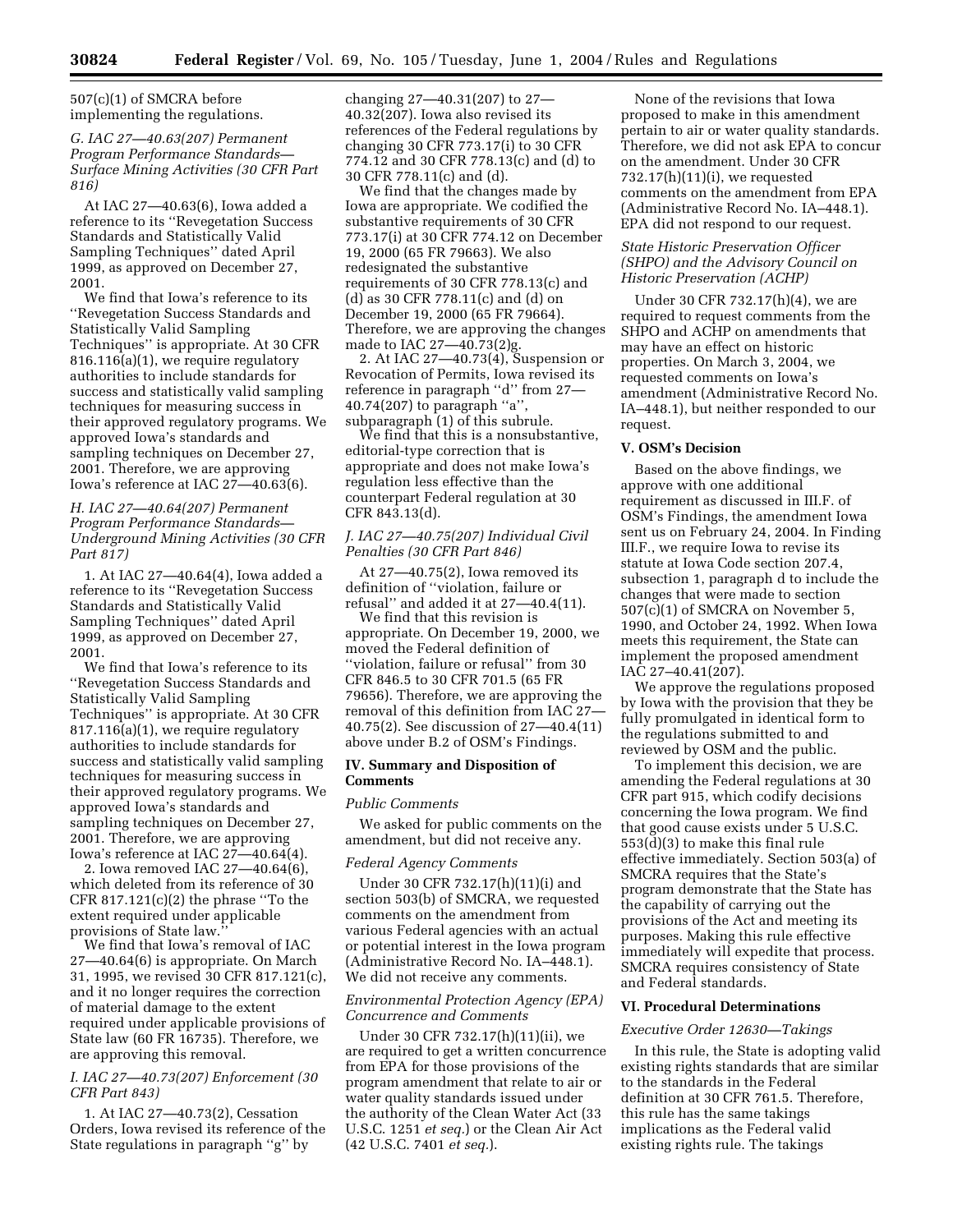507(c)(1) of SMCRA before implementing the regulations.

# *G. IAC 27—40.63(207) Permanent Program Performance Standards— Surface Mining Activities (30 CFR Part 816)*

At IAC 27—40.63(6), Iowa added a reference to its ''Revegetation Success Standards and Statistically Valid Sampling Techniques'' dated April 1999, as approved on December 27, 2001.

We find that Iowa's reference to its ''Revegetation Success Standards and Statistically Valid Sampling Techniques'' is appropriate. At 30 CFR 816.116(a)(1), we require regulatory authorities to include standards for success and statistically valid sampling techniques for measuring success in their approved regulatory programs. We approved Iowa's standards and sampling techniques on December 27, 2001. Therefore, we are approving Iowa's reference at IAC 27—40.63(6).

# *H. IAC 27—40.64(207) Permanent Program Performance Standards— Underground Mining Activities (30 CFR Part 817)*

1. At IAC 27—40.64(4), Iowa added a reference to its ''Revegetation Success Standards and Statistically Valid Sampling Techniques'' dated April 1999, as approved on December 27, 2001.

We find that Iowa's reference to its ''Revegetation Success Standards and Statistically Valid Sampling Techniques'' is appropriate. At 30 CFR 817.116(a)(1), we require regulatory authorities to include standards for success and statistically valid sampling techniques for measuring success in their approved regulatory programs. We approved Iowa's standards and sampling techniques on December 27, 2001. Therefore, we are approving Iowa's reference at IAC 27—40.64(4).

2. Iowa removed IAC 27—40.64(6), which deleted from its reference of 30 CFR  $817.121(c)(2)$  the phrase "To the extent required under applicable provisions of State law.''

We find that Iowa's removal of IAC 27—40.64(6) is appropriate. On March 31, 1995, we revised 30 CFR 817.121(c), and it no longer requires the correction of material damage to the extent required under applicable provisions of State law (60 FR 16735). Therefore, we are approving this removal.

# *I. IAC 27—40.73(207) Enforcement (30 CFR Part 843)*

1. At IAC 27—40.73(2), Cessation Orders, Iowa revised its reference of the State regulations in paragraph ''g'' by

changing 27—40.31(207) to 27— 40.32(207). Iowa also revised its references of the Federal regulations by changing 30 CFR 773.17(i) to 30 CFR 774.12 and 30 CFR 778.13(c) and (d) to 30 CFR 778.11(c) and (d).

We find that the changes made by Iowa are appropriate. We codified the substantive requirements of 30 CFR 773.17(i) at 30 CFR 774.12 on December 19, 2000 (65 FR 79663). We also redesignated the substantive requirements of 30 CFR 778.13(c) and (d) as 30 CFR 778.11(c) and (d) on December 19, 2000 (65 FR 79664). Therefore, we are approving the changes made to IAC 27—40.73(2)g.

2. At IAC 27—40.73(4), Suspension or Revocation of Permits, Iowa revised its reference in paragraph ''d'' from 27— 40.74(207) to paragraph ''a'', subparagraph (1) of this subrule.

We find that this is a nonsubstantive, editorial-type correction that is appropriate and does not make Iowa's regulation less effective than the counterpart Federal regulation at 30 CFR 843.13(d).

# *J. IAC 27—40.75(207) Individual Civil Penalties (30 CFR Part 846)*

At 27—40.75(2), Iowa removed its definition of ''violation, failure or refusal'' and added it at 27—40.4(11).

We find that this revision is appropriate. On December 19, 2000, we moved the Federal definition of ''violation, failure or refusal'' from 30 CFR 846.5 to 30 CFR 701.5 (65 FR 79656). Therefore, we are approving the removal of this definition from IAC 27— 40.75(2). See discussion of 27—40.4(11) above under B.2 of OSM's Findings.

#### **IV. Summary and Disposition of Comments**

#### *Public Comments*

We asked for public comments on the amendment, but did not receive any.

# *Federal Agency Comments*

Under 30 CFR 732.17(h)(11)(i) and section 503(b) of SMCRA, we requested comments on the amendment from various Federal agencies with an actual or potential interest in the Iowa program (Administrative Record No. IA–448.1). We did not receive any comments.

# *Environmental Protection Agency (EPA) Concurrence and Comments*

Under 30 CFR 732.17(h)(11)(ii), we are required to get a written concurrence from EPA for those provisions of the program amendment that relate to air or water quality standards issued under the authority of the Clean Water Act (33 U.S.C. 1251 *et seq.*) or the Clean Air Act (42 U.S.C. 7401 *et seq.*).

None of the revisions that Iowa proposed to make in this amendment pertain to air or water quality standards. Therefore, we did not ask EPA to concur on the amendment. Under 30 CFR 732.17(h)(11)(i), we requested comments on the amendment from EPA (Administrative Record No. IA–448.1). EPA did not respond to our request.

# *State Historic Preservation Officer (SHPO) and the Advisory Council on Historic Preservation (ACHP)*

Under 30 CFR 732.17(h)(4), we are required to request comments from the SHPO and ACHP on amendments that may have an effect on historic properties. On March 3, 2004, we requested comments on Iowa's amendment (Administrative Record No. IA–448.1), but neither responded to our request.

#### **V. OSM's Decision**

Based on the above findings, we approve with one additional requirement as discussed in III.F. of OSM's Findings, the amendment Iowa sent us on February 24, 2004. In Finding III.F., we require Iowa to revise its statute at Iowa Code section 207.4, subsection 1, paragraph d to include the changes that were made to section 507(c)(1) of SMCRA on November 5, 1990, and October 24, 1992. When Iowa meets this requirement, the State can implement the proposed amendment IAC 27–40.41(207).

We approve the regulations proposed by Iowa with the provision that they be fully promulgated in identical form to the regulations submitted to and reviewed by OSM and the public.

To implement this decision, we are amending the Federal regulations at 30 CFR part 915, which codify decisions concerning the Iowa program. We find that good cause exists under 5 U.S.C. 553(d)(3) to make this final rule effective immediately. Section 503(a) of SMCRA requires that the State's program demonstrate that the State has the capability of carrying out the provisions of the Act and meeting its purposes. Making this rule effective immediately will expedite that process. SMCRA requires consistency of State and Federal standards.

#### **VI. Procedural Determinations**

#### *Executive Order 12630—Takings*

In this rule, the State is adopting valid existing rights standards that are similar to the standards in the Federal definition at 30 CFR 761.5. Therefore, this rule has the same takings implications as the Federal valid existing rights rule. The takings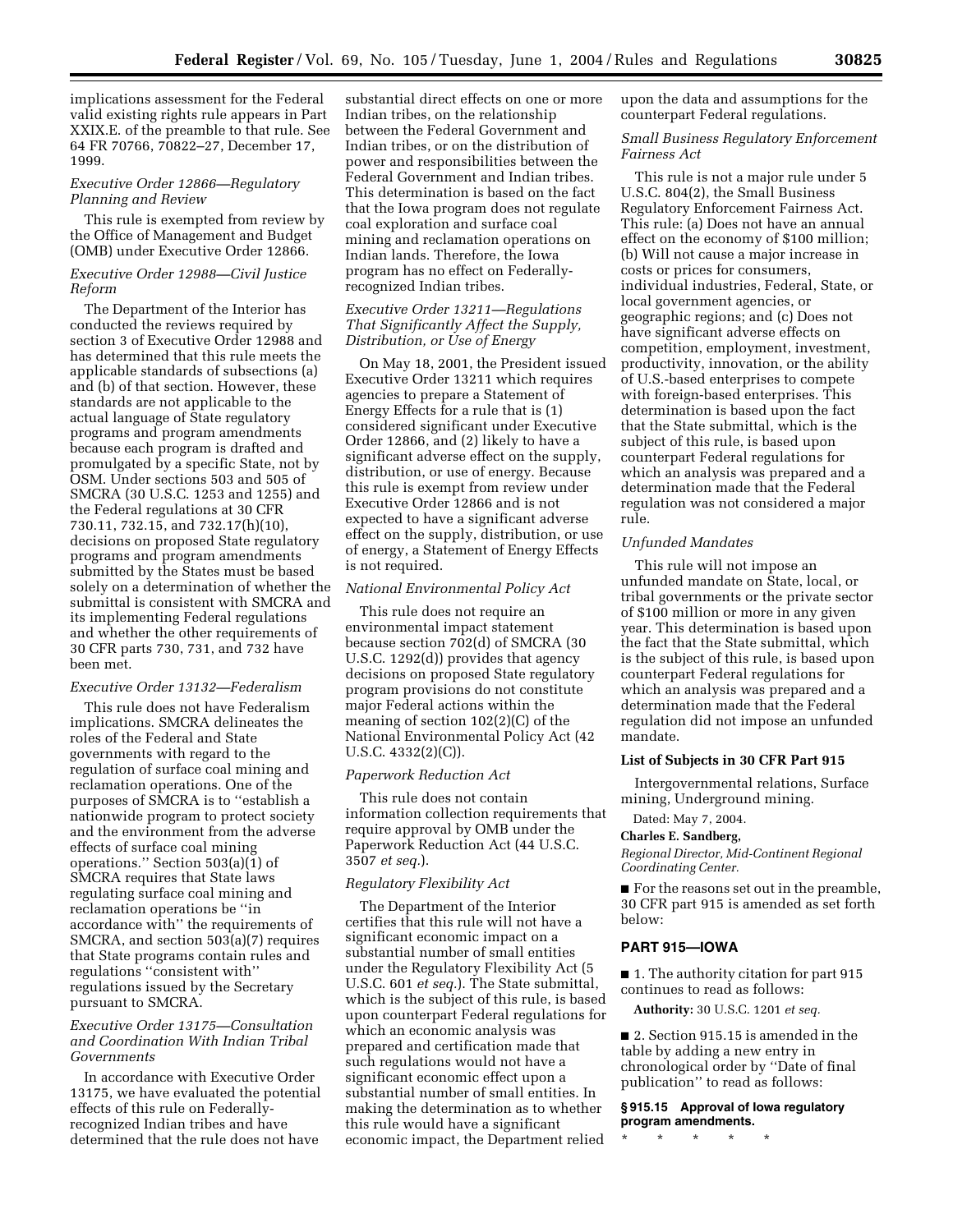implications assessment for the Federal valid existing rights rule appears in Part XXIX.E. of the preamble to that rule. See 64 FR 70766, 70822–27, December 17, 1999.

### *Executive Order 12866—Regulatory Planning and Review*

This rule is exempted from review by the Office of Management and Budget (OMB) under Executive Order 12866.

## *Executive Order 12988—Civil Justice Reform*

The Department of the Interior has conducted the reviews required by section 3 of Executive Order 12988 and has determined that this rule meets the applicable standards of subsections (a) and (b) of that section. However, these standards are not applicable to the actual language of State regulatory programs and program amendments because each program is drafted and promulgated by a specific State, not by OSM. Under sections 503 and 505 of SMCRA (30 U.S.C. 1253 and 1255) and the Federal regulations at 30 CFR 730.11, 732.15, and 732.17(h)(10), decisions on proposed State regulatory programs and program amendments submitted by the States must be based solely on a determination of whether the submittal is consistent with SMCRA and its implementing Federal regulations and whether the other requirements of 30 CFR parts 730, 731, and 732 have been met.

#### *Executive Order 13132—Federalism*

This rule does not have Federalism implications. SMCRA delineates the roles of the Federal and State governments with regard to the regulation of surface coal mining and reclamation operations. One of the purposes of SMCRA is to ''establish a nationwide program to protect society and the environment from the adverse effects of surface coal mining operations.'' Section 503(a)(1) of SMCRA requires that State laws regulating surface coal mining and reclamation operations be ''in accordance with'' the requirements of SMCRA, and section 503(a)(7) requires that State programs contain rules and regulations ''consistent with'' regulations issued by the Secretary pursuant to SMCRA.

# *Executive Order 13175—Consultation and Coordination With Indian Tribal Governments*

In accordance with Executive Order 13175, we have evaluated the potential effects of this rule on Federallyrecognized Indian tribes and have determined that the rule does not have

substantial direct effects on one or more Indian tribes, on the relationship between the Federal Government and Indian tribes, or on the distribution of power and responsibilities between the Federal Government and Indian tribes. This determination is based on the fact that the Iowa program does not regulate coal exploration and surface coal mining and reclamation operations on Indian lands. Therefore, the Iowa program has no effect on Federallyrecognized Indian tribes.

# *Executive Order 13211—Regulations That Significantly Affect the Supply, Distribution, or Use of Energy*

On May 18, 2001, the President issued Executive Order 13211 which requires agencies to prepare a Statement of Energy Effects for a rule that is (1) considered significant under Executive Order 12866, and (2) likely to have a significant adverse effect on the supply, distribution, or use of energy. Because this rule is exempt from review under Executive Order 12866 and is not expected to have a significant adverse effect on the supply, distribution, or use of energy, a Statement of Energy Effects is not required.

#### *National Environmental Policy Act*

This rule does not require an environmental impact statement because section 702(d) of SMCRA (30 U.S.C. 1292(d)) provides that agency decisions on proposed State regulatory program provisions do not constitute major Federal actions within the meaning of section 102(2)(C) of the National Environmental Policy Act (42 U.S.C. 4332(2)(C)).

#### *Paperwork Reduction Act*

This rule does not contain information collection requirements that require approval by OMB under the Paperwork Reduction Act (44 U.S.C. 3507 *et seq.*).

### *Regulatory Flexibility Act*

The Department of the Interior certifies that this rule will not have a significant economic impact on a substantial number of small entities under the Regulatory Flexibility Act (5 U.S.C. 601 *et seq.*). The State submittal, which is the subject of this rule, is based upon counterpart Federal regulations for which an economic analysis was prepared and certification made that such regulations would not have a significant economic effect upon a substantial number of small entities. In making the determination as to whether this rule would have a significant economic impact, the Department relied

upon the data and assumptions for the counterpart Federal regulations.

# *Small Business Regulatory Enforcement Fairness Act*

This rule is not a major rule under 5 U.S.C. 804(2), the Small Business Regulatory Enforcement Fairness Act. This rule: (a) Does not have an annual effect on the economy of \$100 million; (b) Will not cause a major increase in costs or prices for consumers, individual industries, Federal, State, or local government agencies, or geographic regions; and (c) Does not have significant adverse effects on competition, employment, investment, productivity, innovation, or the ability of U.S.-based enterprises to compete with foreign-based enterprises. This determination is based upon the fact that the State submittal, which is the subject of this rule, is based upon counterpart Federal regulations for which an analysis was prepared and a determination made that the Federal regulation was not considered a major rule.

#### *Unfunded Mandates*

This rule will not impose an unfunded mandate on State, local, or tribal governments or the private sector of \$100 million or more in any given year. This determination is based upon the fact that the State submittal, which is the subject of this rule, is based upon counterpart Federal regulations for which an analysis was prepared and a determination made that the Federal regulation did not impose an unfunded mandate.

# **List of Subjects in 30 CFR Part 915**

Intergovernmental relations, Surface mining, Underground mining.

#### Dated: May 7, 2004.

#### **Charles E. Sandberg,**

*Regional Director, Mid-Continent Regional Coordinating Center.*

■ For the reasons set out in the preamble, 30 CFR part 915 is amended as set forth below:

# **PART 915—IOWA**

■ 1. The authority citation for part 915 continues to read as follows:

**Authority:** 30 U.S.C. 1201 *et seq.*

■ 2. Section 915.15 is amended in the table by adding a new entry in chronological order by ''Date of final publication'' to read as follows:

**§ 915.15 Approval of Iowa regulatory program amendments.**

\* \* \* \* \*